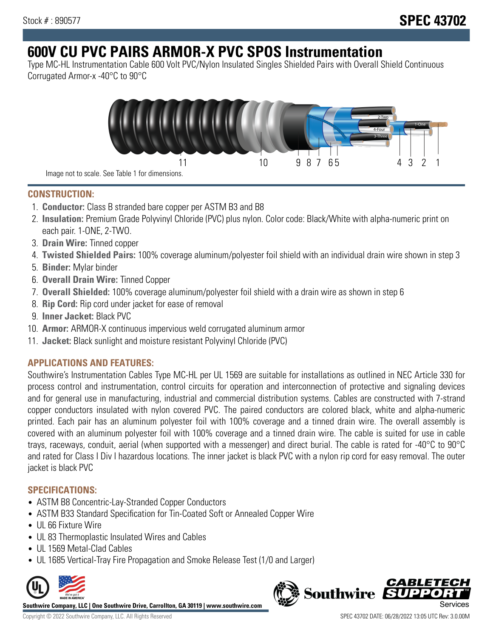# **600V CU PVC PAIRS ARMOR-X PVC SPOS Instrumentation**

Type MC-HL Instrumentation Cable 600 Volt PVC/Nylon Insulated Singles Shielded Pairs with Overall Shield Continuous Corrugated Armor-x -40°C to 90°C



Image not to scale. See Table 1 for dimensions.

# **CONSTRUCTION:**

- 1. **Conductor:** Class B stranded bare copper per ASTM B3 and B8
- 2. **Insulation:** Premium Grade Polyvinyl Chloride (PVC) plus nylon. Color code: Black/White with alpha-numeric print on each pair. 1-ONE, 2-TWO.
- 3. **Drain Wire:** Tinned copper
- 4. **Twisted Shielded Pairs:** 100% coverage aluminum/polyester foil shield with an individual drain wire shown in step 3
- 5. **Binder:** Mylar binder
- 6. **Overall Drain Wire:** Tinned Copper
- 7. **Overall Shielded:** 100% coverage aluminum/polyester foil shield with a drain wire as shown in step 6
- 8. **Rip Cord:** Rip cord under jacket for ease of removal
- 9. **Inner Jacket:** Black PVC
- 10. **Armor:** ARMOR-X continuous impervious weld corrugated aluminum armor
- 11. **Jacket:** Black sunlight and moisture resistant Polyvinyl Chloride (PVC)

# **APPLICATIONS AND FEATURES:**

Southwire's Instrumentation Cables Type MC-HL per UL 1569 are suitable for installations as outlined in NEC Article 330 for process control and instrumentation, control circuits for operation and interconnection of protective and signaling devices and for general use in manufacturing, industrial and commercial distribution systems. Cables are constructed with 7-strand copper conductors insulated with nylon covered PVC. The paired conductors are colored black, white and alpha-numeric printed. Each pair has an aluminum polyester foil with 100% coverage and a tinned drain wire. The overall assembly is covered with an aluminum polyester foil with 100% coverage and a tinned drain wire. The cable is suited for use in cable trays, raceways, conduit, aerial (when supported with a messenger) and direct burial. The cable is rated for -40°C to 90°C and rated for Class I Div I hazardous locations. The inner jacket is black PVC with a nylon rip cord for easy removal. The outer jacket is black PVC

# **SPECIFICATIONS:**

- ASTM B8 Concentric-Lay-Stranded Copper Conductors
- ASTM B33 Standard Specification for Tin-Coated Soft or Annealed Copper Wire
- UL 66 Fixture Wire
- UL 83 Thermoplastic Insulated Wires and Cables
- UL 1569 Metal-Clad Cables
- UL 1685 Vertical-Tray Fire Propagation and Smoke Release Test (1/0 and Larger)



**Southwire Company, LLC | One Southwire Drive, Carrollton, GA 30119 | www.southwire.com**